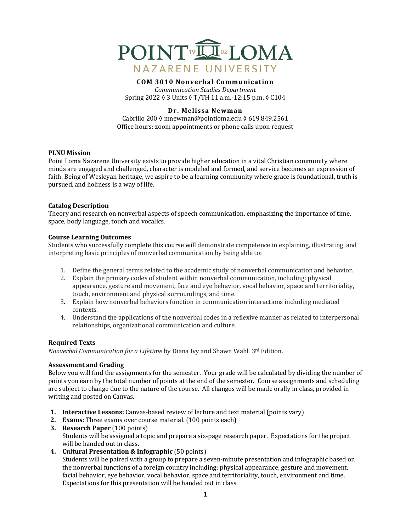

#### **COM 3010 Nonverbal Communication** *Communication Studies Department*

Spring 2022 ♦ 3 Units ♦ T/TH 11 a.m.-12:15 p.m. ♦ C104

## **Dr. Melissa Newman**

Cabrillo 200 ◊ mnewman@pointloma.edu ◊ 619.849.2561 Office hours: zoom appointments or phone calls upon request

### **PLNU** Mission

Point Loma Nazarene University exists to provide higher education in a vital Christian community where minds are engaged and challenged, character is modeled and formed, and service becomes an expression of faith. Being of Wesleyan heritage, we aspire to be a learning community where grace is foundational, truth is pursued, and holiness is a way of life.

#### **Catalog Description**

Theory and research on nonverbal aspects of speech communication, emphasizing the importance of time, space, body language, touch and vocalics.

#### **Course Learning Outcomes**

Students who successfully complete this course will demonstrate competence in explaining, illustrating, and interpreting basic principles of nonverbal communication by being able to:

- 1. Define the general terms related to the academic study of nonverbal communication and behavior.
- 2. Explain the primary codes of student within nonverbal communication, including: physical appearance, gesture and movement, face and eye behavior, vocal behavior, space and territoriality, touch, environment and physical surroundings, and time.
- 3. Explain how nonverbal behaviors function in communication interactions including mediated contexts.
- 4. Understand the applications of the nonverbal codes in a reflexive manner as related to interpersonal relationships, organizational communication and culture.

### **Required Texts**

*Nonverbal Communication for a Lifetime* by Diana Ivy and Shawn Wahl. 3<sup>rd</sup> Edition.

### **Assessment and Grading**

Below you will find the assignments for the semester. Your grade will be calculated by dividing the number of points you earn by the total number of points at the end of the semester. Course assignments and scheduling are subject to change due to the nature of the course. All changes will be made orally in class, provided in writing and posted on Canvas.

- **1. Interactive Lessons:** Canvas-based review of lecture and text material (points vary)
- **2. Exams:** Three exams over course material. (100 points each)
- **3. Research Paper** (100 points) Students will be assigned a topic and prepare a six-page research paper. Expectations for the project will be handed out in class.
- **4. Cultural Presentation & Infographic** (50 points)

Students will be paired with a group to prepare a seven-minute presentation and infographic based on the nonverbal functions of a foreign country including: physical appearance, gesture and movement, facial behavior, eye behavior, vocal behavior, space and territoriality, touch, environment and time. Expectations for this presentation will be handed out in class.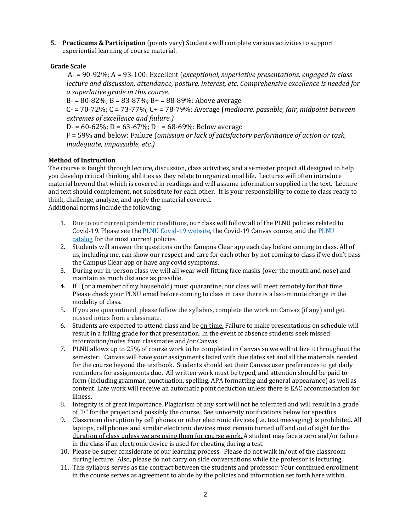**5.** Practicums & Participation (points vary) Students will complete various activities to support experiential learning of course material.

# **Grade Scale**

A- = 90-92%; A = 93-100: Excellent (*exceptional, superlative presentations, engaged in class lecture and discussion, attendance, posture, interest, etc. Comprehensive excellence is needed for a superlative grade in this course*.

 $B = 80 - 82\%$ ;  $B = 83 - 87\%$ ;  $B = 88 - 89\%$ ; Above average

 $C - 70 - 72\%$ ;  $C = 73 - 77\%$ ;  $C + 78 - 79\%$ : Average (*mediocre, passable, fair, midpoint between extremes of excellence and failure.)*

D- =  $60-62\%$ ; D =  $63-67\%$ ; D+ =  $68-69\%$ : Below average

F = 59% and below: Failure (*omission or lack of satisfactory performance of action or task, inadequate, impassable, etc.)* 

# **Method of Instruction**

The course is taught through lecture, discussion, class activities, and a semester project all designed to help you develop critical thinking abilities as they relate to organizational life. Lectures will often introduce material beyond that which is covered in readings and will assume information supplied in the text. Lecture and text should complement, not substitute for each other. It is your responsibility to come to class ready to think, challenge, analyze, and apply the material covered. Additional norms include the following:

- 1. Due to our current pandemic conditions, our class will follow all of the PLNU policies related to Covid-19. Please see the PLNU Covid-19 website, the Covid-19 Canvas course, and the PLNU catalog for the most current policies.
- 2. Students will answer the questions on the Campus Clear app each day before coming to class. All of us, including me, can show our respect and care for each other by not coming to class if we don't pass the Campus Clear app or have any covid symptoms.
- 3. During our in-person class we will all wear well-fitting face masks (over the mouth and nose) and maintain as much distance as possible.
- 4. If I (or a member of my household) must quarantine, our class will meet remotely for that time. Please check your PLNU email before coming to class in case there is a last-minute change in the modality of class.
- 5. If you are quarantined, please follow the syllabus, complete the work on Canvas (if any) and get missed notes from a classmate.
- 6. Students are expected to attend class and be on time. Failure to make presentations on schedule will result in a failing grade for that presentation. In the event of absence students seek missed information/notes from classmates and/or Canvas.
- 7. PLNU allows up to 25% of course work to be completed in Canvas so we will utilize it throughout the semester. Canvas will have your assignments listed with due dates set and all the materials needed for the course beyond the textbook. Students should set their Canvas user preferences to get daily reminders for assignments due. All written work must be typed, and attention should be paid to form (including grammar, punctuation, spelling, APA formatting and general appearance) as well as content. Late work will receive an automatic point deduction unless there is EAC accommodation for illness.
- 8. Integrity is of great importance. Plagiarism of any sort will not be tolerated and will result in a grade of "F" for the project and possibly the course. See university notifications below for specifics.
- 9. Classroom disruption by cell phones or other electronic devices (i.e. text messaging) is prohibited. All laptops, cell phones and similar electronic devices must remain turned off and out of sight for the duration of class unless we are using them for course work. A student may face a zero and/or failure in the class if an electronic device is used for cheating during a test.
- 10. Please be super considerate of our learning process. Please do not walk in/out of the classroom during lecture. Also, please do not carry on side conversations while the professor is lecturing.
- 11. This syllabus serves as the contract between the students and professor. Your continued enrollment in the course serves as agreement to abide by the policies and information set forth here within.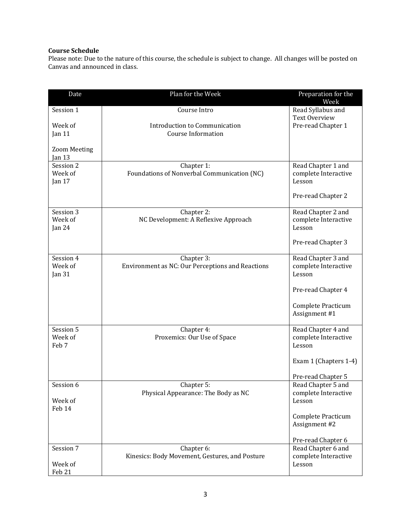## **Course Schedule**

Please note: Due to the nature of this course, the schedule is subject to change. All changes will be posted on Canvas and announced in class.

| Date                             | Plan for the Week                                              | Preparation for the<br>Week                          |
|----------------------------------|----------------------------------------------------------------|------------------------------------------------------|
| Session 1                        | Course Intro                                                   | Read Syllabus and<br><b>Text Overview</b>            |
| Week of<br>Jan 11                | Introduction to Communication<br><b>Course Information</b>     | Pre-read Chapter 1                                   |
| <b>Zoom Meeting</b><br>Jan $13$  |                                                                |                                                      |
| Session 2<br>Week of<br>Jan $17$ | Chapter 1:<br>Foundations of Nonverbal Communication (NC)      | Read Chapter 1 and<br>complete Interactive<br>Lesson |
|                                  |                                                                | Pre-read Chapter 2                                   |
| Session 3<br>Week of<br>Jan $24$ | Chapter 2:<br>NC Development: A Reflexive Approach             | Read Chapter 2 and<br>complete Interactive<br>Lesson |
|                                  |                                                                | Pre-read Chapter 3                                   |
| Session 4<br>Week of<br>Jan 31   | Chapter 3:<br>Environment as NC: Our Perceptions and Reactions | Read Chapter 3 and<br>complete Interactive<br>Lesson |
|                                  |                                                                | Pre-read Chapter 4                                   |
|                                  |                                                                | Complete Practicum<br>Assignment #1                  |
| Session 5<br>Week of<br>Feb 7    | Chapter 4:<br>Proxemics: Our Use of Space                      | Read Chapter 4 and<br>complete Interactive<br>Lesson |
|                                  |                                                                | Exam 1 (Chapters 1-4)                                |
|                                  |                                                                | Pre-read Chapter 5                                   |
| Session 6                        | Chapter 5:<br>Physical Appearance: The Body as NC              | Read Chapter 5 and<br>complete Interactive           |
| Week of<br>Feb 14                |                                                                | Lesson                                               |
|                                  |                                                                | Complete Practicum<br>Assignment #2                  |
|                                  |                                                                | Pre-read Chapter 6                                   |
| Session 7<br>Week of             | Chapter 6:<br>Kinesics: Body Movement, Gestures, and Posture   | Read Chapter 6 and<br>complete Interactive<br>Lesson |
| Feb 21                           |                                                                |                                                      |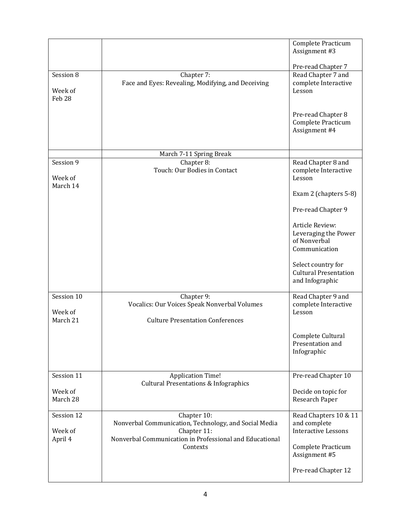|                                  |                                                                                     | Complete Practicum<br>Assignment #3                                      |
|----------------------------------|-------------------------------------------------------------------------------------|--------------------------------------------------------------------------|
|                                  |                                                                                     | Pre-read Chapter 7                                                       |
| Session 8<br>Week of<br>Feb 28   | Chapter 7:<br>Face and Eyes: Revealing, Modifying, and Deceiving                    | Read Chapter 7 and<br>complete Interactive<br>Lesson                     |
|                                  |                                                                                     | Pre-read Chapter 8<br>Complete Practicum<br>Assignment #4                |
|                                  | March 7-11 Spring Break                                                             |                                                                          |
| Session 9<br>Week of<br>March 14 | Chapter 8:<br>Touch: Our Bodies in Contact                                          | Read Chapter 8 and<br>complete Interactive<br>Lesson                     |
|                                  |                                                                                     | Exam 2 (chapters 5-8)                                                    |
|                                  |                                                                                     | Pre-read Chapter 9                                                       |
|                                  |                                                                                     | Article Review:<br>Leveraging the Power<br>of Nonverbal<br>Communication |
|                                  |                                                                                     | Select country for<br><b>Cultural Presentation</b><br>and Infographic    |
| Session 10<br>Week of            | Chapter 9:<br>Vocalics: Our Voices Speak Nonverbal Volumes                          | Read Chapter 9 and<br>complete Interactive<br>Lesson                     |
| March 21                         | <b>Culture Presentation Conferences</b>                                             |                                                                          |
|                                  |                                                                                     | Complete Cultural<br>Presentation and<br>Infographic                     |
| Session 11                       | <b>Application Time!</b>                                                            | Pre-read Chapter 10                                                      |
| Week of<br>March 28              | <b>Cultural Presentations &amp; Infographics</b>                                    | Decide on topic for<br>Research Paper                                    |
| Session 12<br>Week of            | Chapter 10:<br>Nonverbal Communication, Technology, and Social Media<br>Chapter 11: | Read Chapters 10 & 11<br>and complete<br><b>Interactive Lessons</b>      |
| April 4                          | Nonverbal Communication in Professional and Educational<br>Contexts                 | Complete Practicum<br>Assignment #5                                      |
|                                  |                                                                                     | Pre-read Chapter 12                                                      |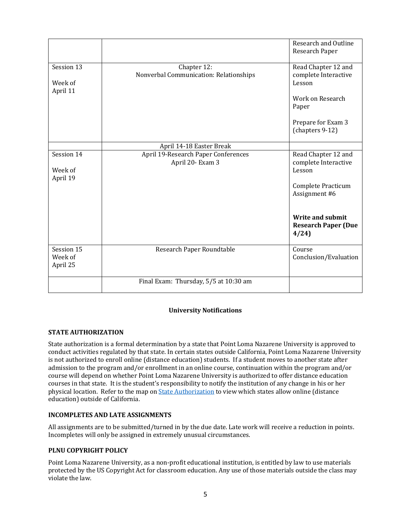|                                   | Final Exam: Thursday, 5/5 at 10:30 am                           |                                                        |
|-----------------------------------|-----------------------------------------------------------------|--------------------------------------------------------|
| Session 15<br>Week of<br>April 25 | Research Paper Roundtable                                       | Course<br>Conclusion/Evaluation                        |
|                                   |                                                                 | Write and submit<br><b>Research Paper (Due</b><br>4/24 |
|                                   |                                                                 | Complete Practicum<br>Assignment #6                    |
| Week of<br>April 19               | April 20- Exam 3                                                | complete Interactive<br>Lesson                         |
| Session 14                        | April 14-18 Easter Break<br>April 19-Research Paper Conferences | Read Chapter 12 and                                    |
|                                   |                                                                 | Prepare for Exam 3<br>(chapters 9-12)                  |
|                                   |                                                                 | Work on Research<br>Paper                              |
| Week of<br>April 11               | Nonverbal Communication: Relationships                          | complete Interactive<br>Lesson                         |
| Session 13                        | Chapter 12:                                                     | Read Chapter 12 and                                    |
|                                   |                                                                 | Research and Outline<br>Research Paper                 |

# **University Notifications**

# **STATE AUTHORIZATION**

State authorization is a formal determination by a state that Point Loma Nazarene University is approved to conduct activities regulated by that state. In certain states outside California, Point Loma Nazarene University is not authorized to enroll online (distance education) students. If a student moves to another state after admission to the program and/or enrollment in an online course, continuation within the program and/or course will depend on whether Point Loma Nazarene University is authorized to offer distance education courses in that state. It is the student's responsibility to notify the institution of any change in his or her physical location. Refer to the map on *State Authorization* to view which states allow online (distance education) outside of California.

### **INCOMPLETES AND LATE ASSIGNMENTS**

All assignments are to be submitted/turned in by the due date. Late work will receive a reduction in points. Incompletes will only be assigned in extremely unusual circumstances.

### **PLNU COPYRIGHT POLICY**

Point Loma Nazarene University, as a non-profit educational institution, is entitled by law to use materials protected by the US Copyright Act for classroom education. Any use of those materials outside the class may violate the law.